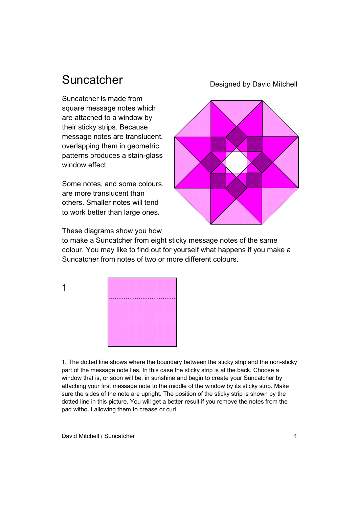## Suncatcher

Suncatcher is made from square message notes which are attached to a window by their sticky strips. Because message notes are translucent, overlapping them in geometric patterns produces a stain-glass window effect.

Some notes, and some colours, are more translucent than others. Smaller notes will tend to work better than large ones.

Designed by David Mitchell



These diagrams show you how

1

to make a Suncatcher from eight sticky message notes of the same colour. You may like to find out for yourself what happens if you make a Suncatcher from notes of two or more different colours.



1. The dotted line shows where the boundary between the sticky strip and the non-sticky part of the message note lies. In this case the sticky strip is at the back. Choose a window that is, or soon will be, in sunshine and begin to create your Suncatcher by attaching your first message note to the middle of the window by its sticky strip. Make sure the sides of the note are upright. The position of the sticky strip is shown by the dotted line in this picture. You will get a better result if you remove the notes from the pad without allowing them to crease or curl.

David Mitchell / Suncatcher 1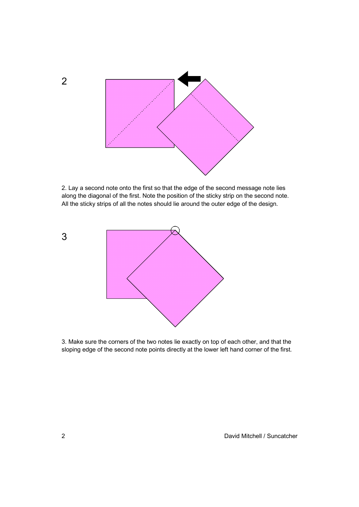

2. Lay a second note onto the first so that the edge of the second message note lies along the diagonal of the first. Note the position of the sticky strip on the second note. All the sticky strips of all the notes should lie around the outer edge of the design.



3. Make sure the corners of the two notes lie exactly on top of each other, and that the sloping edge of the second note points directly at the lower left hand corner of the first.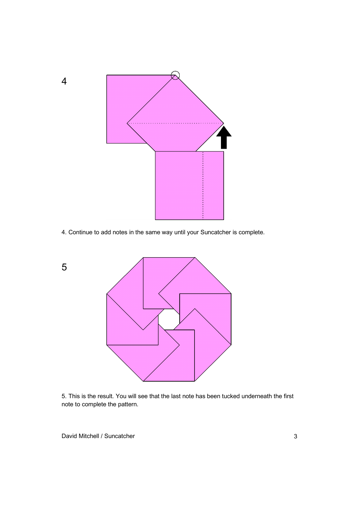

4. Continue to add notes in the same way until your Suncatcher is complete.



5. This is the result. You will see that the last note has been tucked underneath the first note to complete the pattern.

David Mitchell / Suncatcher 3